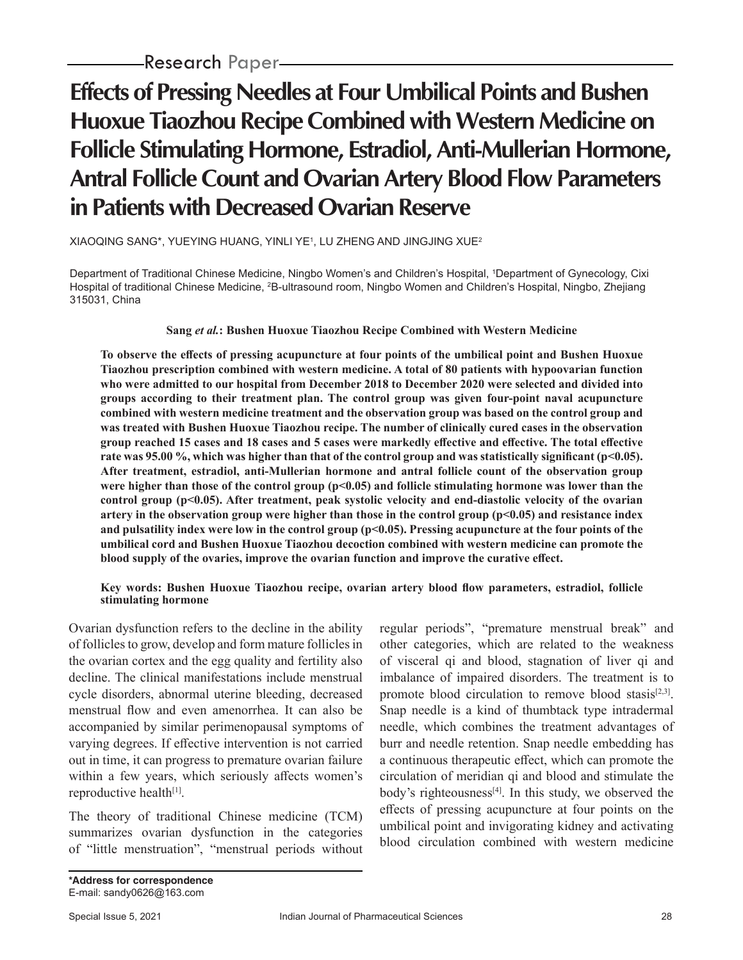# **Effects of Pressing Needles at Four Umbilical Points and Bushen Huoxue Tiaozhou Recipe Combined with Western Medicine on Follicle Stimulating Hormone, Estradiol, Anti-Mullerian Hormone, Antral Follicle Count and Ovarian Artery Blood Flow Parameters in Patients with Decreased Ovarian Reserve**

### XIAOQING SANG\*, YUEYING HUANG, YINLI YE1 , LU ZHENG AND JINGJING XUE2

Department of Traditional Chinese Medicine, Ningbo Women's and Children's Hospital, 1 Department of Gynecology, Cixi Hospital of traditional Chinese Medicine, <sup>2</sup>B-ultrasound room, Ningbo Women and Children's Hospital, Ningbo, Zhejiang 315031, China

## **Sang** *et al.***: Bushen Huoxue Tiaozhou Recipe Combined with Western Medicine**

**To observe the effects of pressing acupuncture at four points of the umbilical point and Bushen Huoxue Tiaozhou prescription combined with western medicine. A total of 80 patients with hypoovarian function who were admitted to our hospital from December 2018 to December 2020 were selected and divided into groups according to their treatment plan. The control group was given four-point naval acupuncture combined with western medicine treatment and the observation group was based on the control group and was treated with Bushen Huoxue Tiaozhou recipe. The number of clinically cured cases in the observation group reached 15 cases and 18 cases and 5 cases were markedly effective and effective. The total effective rate was 95.00 %, which was higher than that of the control group and was statistically significant (p<0.05). After treatment, estradiol, anti-Mullerian hormone and antral follicle count of the observation group**  were higher than those of the control group (p<0.05) and follicle stimulating hormone was lower than the **control group (p<0.05). After treatment, peak systolic velocity and end-diastolic velocity of the ovarian artery in the observation group were higher than those in the control group (p<0.05) and resistance index and pulsatility index were low in the control group (p<0.05). Pressing acupuncture at the four points of the umbilical cord and Bushen Huoxue Tiaozhou decoction combined with western medicine can promote the blood supply of the ovaries, improve the ovarian function and improve the curative effect.**

#### **Key words: Bushen Huoxue Tiaozhou recipe, ovarian artery blood flow parameters, estradiol, follicle stimulating hormone**

Ovarian dysfunction refers to the decline in the ability of follicles to grow, develop and form mature follicles in the ovarian cortex and the egg quality and fertility also decline. The clinical manifestations include menstrual cycle disorders, abnormal uterine bleeding, decreased menstrual flow and even amenorrhea. It can also be accompanied by similar perimenopausal symptoms of varying degrees. If effective intervention is not carried out in time, it can progress to premature ovarian failure within a few years, which seriously affects women's reproductive health<sup>[1]</sup>.

The theory of traditional Chinese medicine (TCM) summarizes ovarian dysfunction in the categories of "little menstruation", "menstrual periods without regular periods", "premature menstrual break" and other categories, which are related to the weakness of visceral qi and blood, stagnation of liver qi and imbalance of impaired disorders. The treatment is to promote blood circulation to remove blood stasis<sup>[2,3]</sup>. Snap needle is a kind of thumbtack type intradermal needle, which combines the treatment advantages of burr and needle retention. Snap needle embedding has a continuous therapeutic effect, which can promote the circulation of meridian qi and blood and stimulate the body's righteousness<sup>[4]</sup>. In this study, we observed the effects of pressing acupuncture at four points on the umbilical point and invigorating kidney and activating blood circulation combined with western medicine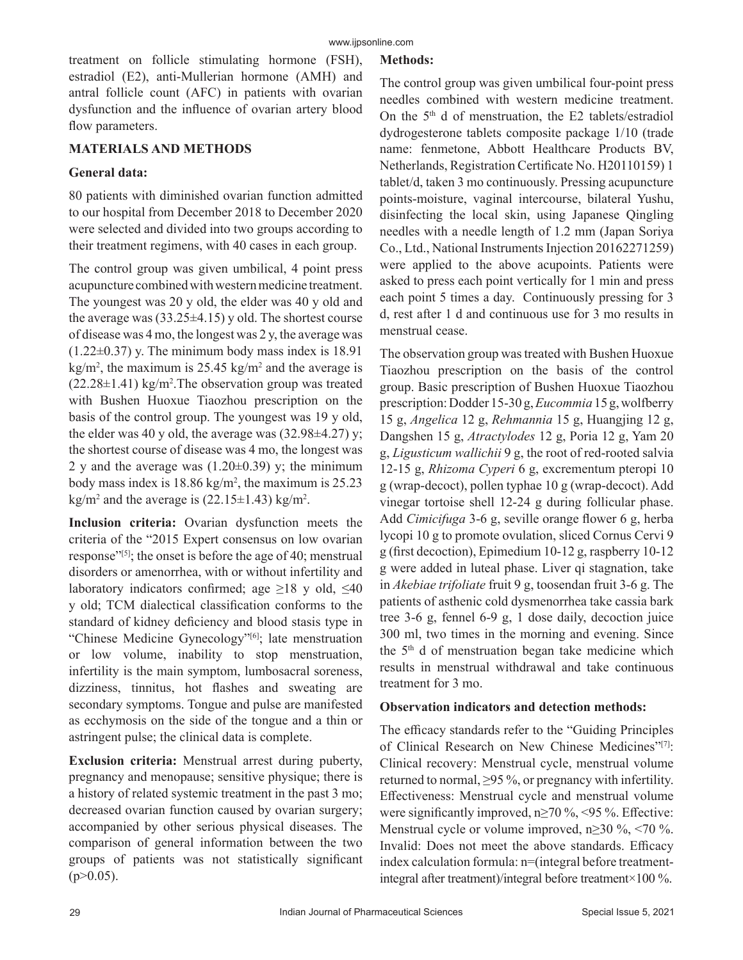treatment on follicle stimulating hormone (FSH), estradiol (E2), anti-Mullerian hormone (AMH) and antral follicle count (AFC) in patients with ovarian dysfunction and the influence of ovarian artery blood flow parameters.

## **MATERIALS AND METHODS**

## **General data:**

80 patients with diminished ovarian function admitted to our hospital from December 2018 to December 2020 were selected and divided into two groups according to their treatment regimens, with 40 cases in each group.

The control group was given umbilical, 4 point press acupuncture combined with western medicine treatment. The youngest was 20 y old, the elder was 40 y old and the average was  $(33.25\pm4.15)$  y old. The shortest course of disease was 4 mo, the longest was 2 y, the average was  $(1.22\pm0.37)$  y. The minimum body mass index is 18.91  $\text{kg/m}^2$ , the maximum is 25.45 kg/m<sup>2</sup> and the average is  $(22.28 \pm 1.41)$  kg/m<sup>2</sup>. The observation group was treated with Bushen Huoxue Tiaozhou prescription on the basis of the control group. The youngest was 19 y old, the elder was 40 y old, the average was  $(32.98\pm4.27)$  y; the shortest course of disease was 4 mo, the longest was 2 y and the average was  $(1.20\pm0.39)$  y; the minimum body mass index is  $18.86 \text{ kg/m}^2$ , the maximum is  $25.23$  $\text{kg/m}^2$  and the average is (22.15 $\pm$ 1.43) kg/m<sup>2</sup>.

**Inclusion criteria:** Ovarian dysfunction meets the criteria of the "2015 Expert consensus on low ovarian response"[5]; the onset is before the age of 40; menstrual disorders or amenorrhea, with or without infertility and laboratory indicators confirmed; age  $\geq$ 18 y old,  $\leq$ 40 y old; TCM dialectical classification conforms to the standard of kidney deficiency and blood stasis type in "Chinese Medicine Gynecology"<sup>[6]</sup>; late menstruation or low volume, inability to stop menstruation, infertility is the main symptom, lumbosacral soreness, dizziness, tinnitus, hot flashes and sweating are secondary symptoms. Tongue and pulse are manifested as ecchymosis on the side of the tongue and a thin or astringent pulse; the clinical data is complete.

**Exclusion criteria:** Menstrual arrest during puberty, pregnancy and menopause; sensitive physique; there is a history of related systemic treatment in the past 3 mo; decreased ovarian function caused by ovarian surgery; accompanied by other serious physical diseases. The comparison of general information between the two groups of patients was not statistically significant  $(p>0.05)$ .

# **Methods:**

The control group was given umbilical four-point press needles combined with western medicine treatment. On the  $5<sup>th</sup>$  d of menstruation, the E2 tablets/estradiol dydrogesterone tablets composite package 1/10 (trade name: fenmetone, Abbott Healthcare Products BV, Netherlands, Registration Certificate No. H20110159) 1 tablet/d, taken 3 mo continuously. Pressing acupuncture points-moisture, vaginal intercourse, bilateral Yushu, disinfecting the local skin, using Japanese Qingling needles with a needle length of 1.2 mm (Japan Soriya Co., Ltd., National Instruments Injection 20162271259) were applied to the above acupoints. Patients were asked to press each point vertically for 1 min and press each point 5 times a day. Continuously pressing for 3 d, rest after 1 d and continuous use for 3 mo results in menstrual cease.

The observation group was treated with Bushen Huoxue Tiaozhou prescription on the basis of the control group. Basic prescription of Bushen Huoxue Tiaozhou prescription: Dodder 15-30 g, *Eucommia* 15 g, wolfberry 15 g, *Angelica* 12 g, *Rehmannia* 15 g, Huangjing 12 g, Dangshen 15 g, *Atractylodes* 12 g, Poria 12 g, Yam 20 g, *Ligusticum wallichii* 9 g, the root of red-rooted salvia 12-15 g, *Rhizoma Cyperi* 6 g, excrementum pteropi 10 g (wrap-decoct), pollen typhae 10 g (wrap-decoct). Add vinegar tortoise shell 12-24 g during follicular phase. Add *Cimicifuga* 3-6 g, seville orange flower 6 g, herba lycopi 10 g to promote ovulation, sliced Cornus Cervi 9 g (first decoction), Epimedium 10-12 g, raspberry 10-12 g were added in luteal phase. Liver qi stagnation, take in *Akebiae trifoliate* fruit 9 g, toosendan fruit 3-6 g. The patients of asthenic cold dysmenorrhea take cassia bark tree 3-6 g, fennel 6-9 g, 1 dose daily, decoction juice 300 ml, two times in the morning and evening. Since the  $5<sup>th</sup>$  d of menstruation began take medicine which results in menstrual withdrawal and take continuous treatment for 3 mo.

# **Observation indicators and detection methods:**

The efficacy standards refer to the "Guiding Principles of Clinical Research on New Chinese Medicines"[7]: Clinical recovery: Menstrual cycle, menstrual volume returned to normal, ≥95 %, or pregnancy with infertility. Effectiveness: Menstrual cycle and menstrual volume were significantly improved,  $n \ge 70 \%$ , <95 %. Effective: Menstrual cycle or volume improved, n≥30 %, <70 %. Invalid: Does not meet the above standards. Efficacy index calculation formula: n=(integral before treatmentintegral after treatment)/integral before treatment×100 %.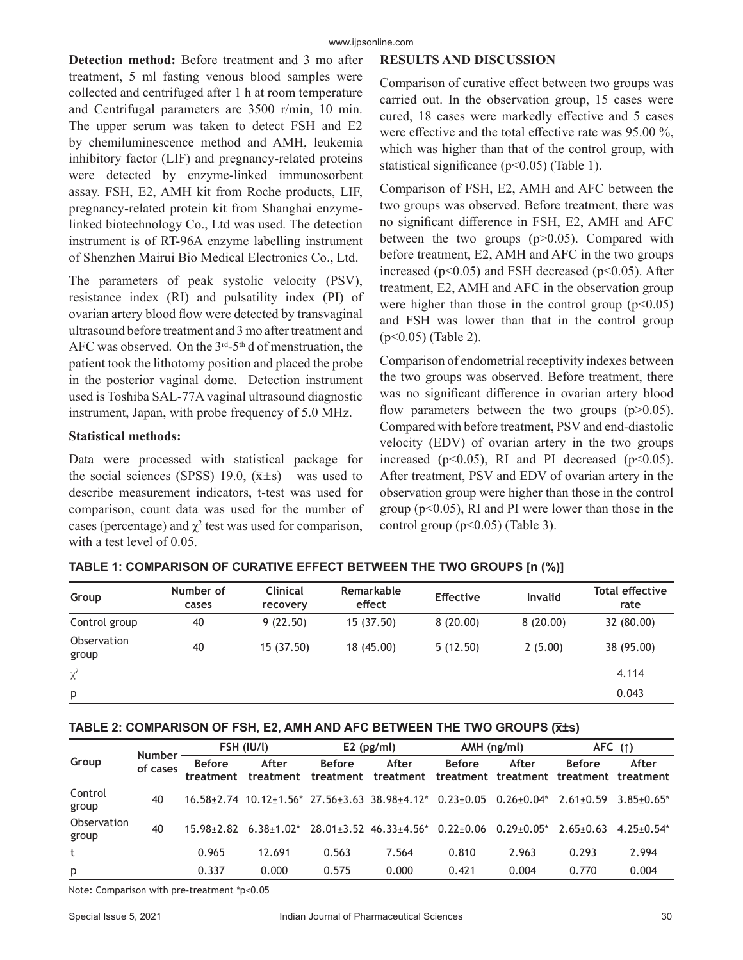**Detection method:** Before treatment and 3 mo after treatment, 5 ml fasting venous blood samples were collected and centrifuged after 1 h at room temperature and Centrifugal parameters are 3500 r/min, 10 min. The upper serum was taken to detect FSH and E2 by chemiluminescence method and AMH, leukemia inhibitory factor (LIF) and pregnancy-related proteins were detected by enzyme-linked immunosorbent assay. FSH, E2, AMH kit from Roche products, LIF, pregnancy-related protein kit from Shanghai enzymelinked biotechnology Co., Ltd was used. The detection instrument is of RT-96A enzyme labelling instrument of Shenzhen Mairui Bio Medical Electronics Co., Ltd.

The parameters of peak systolic velocity (PSV), resistance index (RI) and pulsatility index (PI) of ovarian artery blood flow were detected by transvaginal ultrasound before treatment and 3 mo after treatment and AFC was observed. On the  $3<sup>rd</sup> - 5<sup>th</sup>$  d of menstruation, the patient took the lithotomy position and placed the probe in the posterior vaginal dome. Detection instrument used is Toshiba SAL-77A vaginal ultrasound diagnostic instrument, Japan, with probe frequency of 5.0 MHz.

#### **Statistical methods:**

Data were processed with statistical package for the social sciences (SPSS) 19.0,  $(\bar{x} \pm s)$  was used to describe measurement indicators, t-test was used for comparison, count data was used for the number of cases (percentage) and  $\chi^2$  test was used for comparison, with a test level of 0.05.

## **RESULTS AND DISCUSSION**

Comparison of curative effect between two groups was carried out. In the observation group, 15 cases were cured, 18 cases were markedly effective and 5 cases were effective and the total effective rate was 95.00 %, which was higher than that of the control group, with statistical significance (p<0.05) (Table 1).

Comparison of FSH, E2, AMH and AFC between the two groups was observed. Before treatment, there was no significant difference in FSH, E2, AMH and AFC between the two groups (p>0.05). Compared with before treatment, E2, AMH and AFC in the two groups increased ( $p<0.05$ ) and FSH decreased ( $p<0.05$ ). After treatment, E2, AMH and AFC in the observation group were higher than those in the control group  $(p<0.05)$ and FSH was lower than that in the control group (p<0.05) (Table 2).

Comparison of endometrial receptivity indexes between the two groups was observed. Before treatment, there was no significant difference in ovarian artery blood flow parameters between the two groups  $(p>0.05)$ . Compared with before treatment, PSV and end-diastolic velocity (EDV) of ovarian artery in the two groups increased ( $p<0.05$ ), RI and PI decreased ( $p<0.05$ ). After treatment, PSV and EDV of ovarian artery in the observation group were higher than those in the control group ( $p<0.05$ ), RI and PI were lower than those in the control group  $(p<0.05)$  (Table 3).

| Group                | Number of<br>cases | <b>Clinical</b><br>recovery | Remarkable<br>effect | <b>Effective</b> | <b>Invalid</b> | <b>Total effective</b><br>rate |
|----------------------|--------------------|-----------------------------|----------------------|------------------|----------------|--------------------------------|
| Control group        | 40                 | 9(22.50)                    | 15 (37.50)           | 8(20.00)         | 8(20.00)       | 32 (80.00)                     |
| Observation<br>group | 40                 | 15 (37.50)                  | 18 (45.00)           | 5(12.50)         | 2(5.00)        | 38 (95.00)                     |
| $\chi^2$             |                    |                             |                      |                  |                | 4.114                          |
| p                    |                    |                             |                      |                  |                | 0.043                          |

# **TABLE 1: COMPARISON OF CURATIVE EFFECT BETWEEN THE TWO GROUPS [n (%)]**

#### **TABLE 2: COMPARISON OF FSH, E2, AMH AND AFC BETWEEN THE TWO GROUPS (x̅±s)**

| Group                | <b>Number</b><br>of cases | FSH (IU/I)                 |                    | $E2$ (pg/ml)               |                                                                       | AMH (ng/ml)     |                                                  | AFC $($ $\uparrow$ $)$ |                |
|----------------------|---------------------------|----------------------------|--------------------|----------------------------|-----------------------------------------------------------------------|-----------------|--------------------------------------------------|------------------------|----------------|
|                      |                           | <b>Before</b><br>treatment | After<br>treatment | <b>Before</b><br>treatment | After<br>treatment                                                    | <b>Before</b>   | After<br>treatment treatment treatment treatment | <b>Before</b>          | After          |
| Control<br>group     | 40                        |                            |                    |                            | $16.58 \pm 2.74$ $10.12 \pm 1.56$ $27.56 \pm 3.63$ $38.98 \pm 4.12$ * | $0.23 \pm 0.05$ | $0.26 \pm 0.04*$                                 | $2.61 + 0.59$          | $3.85 + 0.65*$ |
| Observation<br>group | 40                        | $15.98 + 2.82$             | $6.38 \pm 1.02^*$  |                            | $28.01 \pm 3.52$ 46.33 $\pm 4.56$ * 0.22 $\pm 0.06$                   |                 | $0.29 + 0.05*$                                   | $2.65+0.63$            | $4.25 + 0.54*$ |
| t                    |                           | 0.965                      | 12.691             | 0.563                      | 7.564                                                                 | 0.810           | 2.963                                            | 0.293                  | 2.994          |
| p                    |                           | 0.337                      | 0.000              | 0.575                      | 0.000                                                                 | 0.421           | 0.004                                            | 0.770                  | 0.004          |

Note: Comparison with pre-treatment \*p<0.05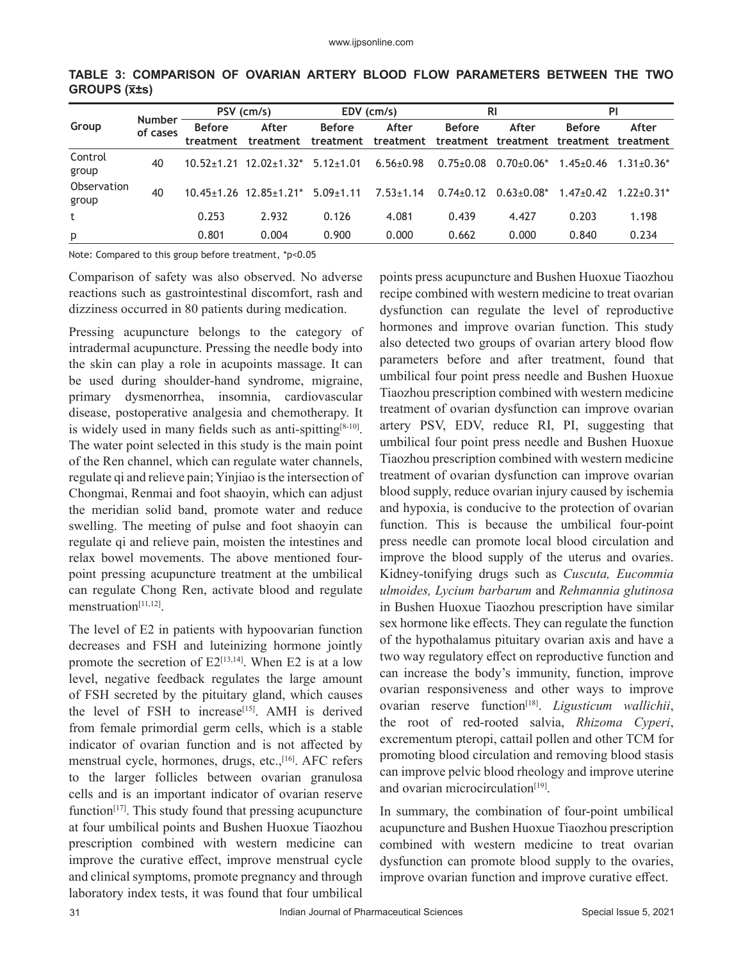| Group                | <b>Number</b><br>of cases | PSV (cm/s)                 |                                        | EDV (cm/s)                 |                    | <b>RI</b>       |                                                  | PI              |                |
|----------------------|---------------------------|----------------------------|----------------------------------------|----------------------------|--------------------|-----------------|--------------------------------------------------|-----------------|----------------|
|                      |                           | <b>Before</b><br>treatment | After<br>treatment                     | <b>Before</b><br>treatment | After<br>treatment | <b>Before</b>   | After<br>treatment treatment treatment treatment | <b>Before</b>   | After          |
| Control<br>group     | 40                        |                            | $10.52+1.21$ $12.02+1.32$ $5.12+1.01$  |                            | $6.56 \pm 0.98$    | $0.75 \pm 0.08$ | $0.70 + 0.06*$                                   | $1.45{\pm}0.46$ | $1.31 + 0.36*$ |
| Observation<br>group | 40                        |                            | $10.45+1.26$ $12.85+1.21$ <sup>*</sup> | $5.09 + 1.11$              | $7.53 \pm 1.14$    | $0.74 \pm 0.12$ | $0.63 + 0.08*$                                   | $1.47 + 0.42$   | $1.22 + 0.31*$ |
| t                    |                           | 0.253                      | 2.932                                  | 0.126                      | 4.081              | 0.439           | 4.427                                            | 0.203           | 1.198          |
| p                    |                           | 0.801                      | 0.004                                  | 0.900                      | 0.000              | 0.662           | 0.000                                            | 0.840           | 0.234          |

**TABLE 3: COMPARISON OF OVARIAN ARTERY BLOOD FLOW PARAMETERS BETWEEN THE TWO GROUPS (x̅±s)**

Note: Compared to this group before treatment, \*p<0.05

Comparison of safety was also observed. No adverse reactions such as gastrointestinal discomfort, rash and dizziness occurred in 80 patients during medication.

Pressing acupuncture belongs to the category of intradermal acupuncture. Pressing the needle body into the skin can play a role in acupoints massage. It can be used during shoulder-hand syndrome, migraine, primary dysmenorrhea, insomnia, cardiovascular disease, postoperative analgesia and chemotherapy. It is widely used in many fields such as anti-spitting<sup>[8-10]</sup>. The water point selected in this study is the main point of the Ren channel, which can regulate water channels, regulate qi and relieve pain; Yinjiao is the intersection of Chongmai, Renmai and foot shaoyin, which can adjust the meridian solid band, promote water and reduce swelling. The meeting of pulse and foot shaoyin can regulate qi and relieve pain, moisten the intestines and relax bowel movements. The above mentioned fourpoint pressing acupuncture treatment at the umbilical can regulate Chong Ren, activate blood and regulate menstruation<sup>[11,12]</sup>.

The level of E2 in patients with hypoovarian function decreases and FSH and luteinizing hormone jointly promote the secretion of  $E2^{[13,14]}$ . When E2 is at a low level, negative feedback regulates the large amount of FSH secreted by the pituitary gland, which causes the level of FSH to increase<sup>[15]</sup>. AMH is derived from female primordial germ cells, which is a stable indicator of ovarian function and is not affected by menstrual cycle, hormones, drugs, etc.,<sup>[16]</sup>. AFC refers to the larger follicles between ovarian granulosa cells and is an important indicator of ovarian reserve function $[17]$ . This study found that pressing acupuncture at four umbilical points and Bushen Huoxue Tiaozhou prescription combined with western medicine can improve the curative effect, improve menstrual cycle and clinical symptoms, promote pregnancy and through laboratory index tests, it was found that four umbilical

points press acupuncture and Bushen Huoxue Tiaozhou recipe combined with western medicine to treat ovarian dysfunction can regulate the level of reproductive hormones and improve ovarian function. This study also detected two groups of ovarian artery blood flow parameters before and after treatment, found that umbilical four point press needle and Bushen Huoxue Tiaozhou prescription combined with western medicine treatment of ovarian dysfunction can improve ovarian artery PSV, EDV, reduce RI, PI, suggesting that umbilical four point press needle and Bushen Huoxue Tiaozhou prescription combined with western medicine treatment of ovarian dysfunction can improve ovarian blood supply, reduce ovarian injury caused by ischemia and hypoxia, is conducive to the protection of ovarian function. This is because the umbilical four-point press needle can promote local blood circulation and improve the blood supply of the uterus and ovaries. Kidney-tonifying drugs such as *Cuscuta, Eucommia ulmoides, Lycium barbarum* and *Rehmannia glutinosa*  in Bushen Huoxue Tiaozhou prescription have similar sex hormone like effects. They can regulate the function of the hypothalamus pituitary ovarian axis and have a two way regulatory effect on reproductive function and can increase the body's immunity, function, improve ovarian responsiveness and other ways to improve ovarian reserve function<sup>[18]</sup>. *Ligusticum wallichii*, the root of red-rooted salvia, *Rhizoma Cyperi*, excrementum pteropi, cattail pollen and other TCM for promoting blood circulation and removing blood stasis can improve pelvic blood rheology and improve uterine and ovarian microcirculation<sup>[19]</sup>.

In summary, the combination of four-point umbilical acupuncture and Bushen Huoxue Tiaozhou prescription combined with western medicine to treat ovarian dysfunction can promote blood supply to the ovaries, improve ovarian function and improve curative effect.